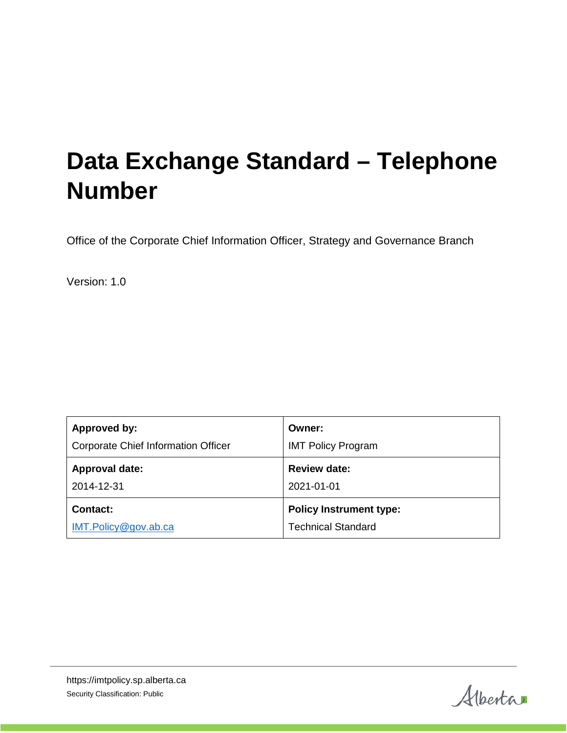# **Data Exchange Standard – Telephone Number**

Office of the Corporate Chief Information Officer, Strategy and Governance Branch

Version: 1.0

| Approved by:                        | Owner:                         |
|-------------------------------------|--------------------------------|
| Corporate Chief Information Officer | <b>IMT Policy Program</b>      |
| <b>Approval date:</b>               | <b>Review date:</b>            |
| 2014-12-31                          | 2021-01-01                     |
| <b>Contact:</b>                     | <b>Policy Instrument type:</b> |
| IMT.Policy@gov.ab.ca                | <b>Technical Standard</b>      |

Alberta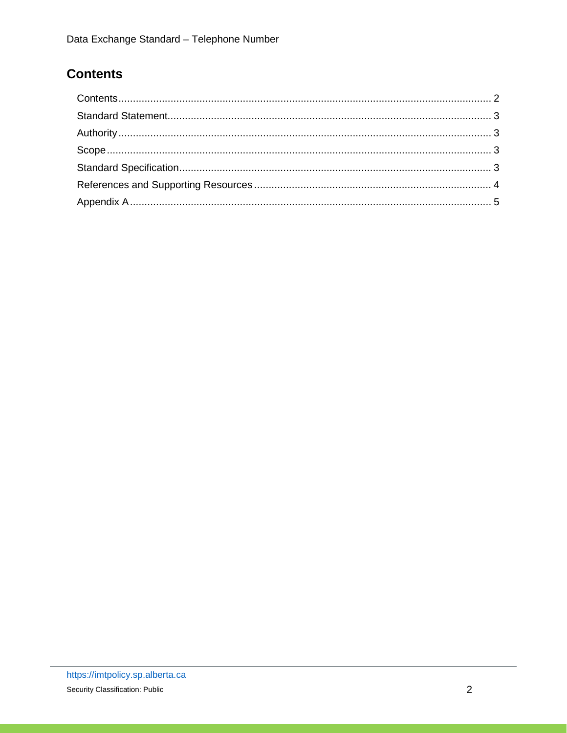## <span id="page-1-0"></span>**Contents**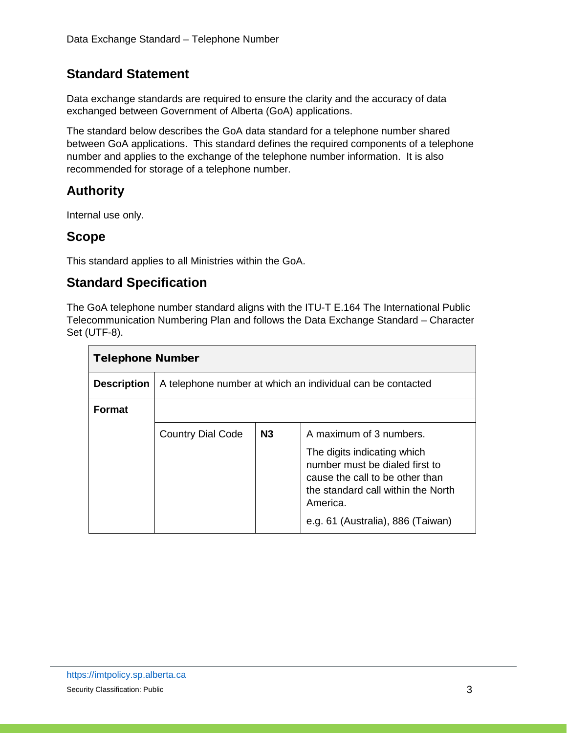#### <span id="page-2-0"></span>**Standard Statement**

Data exchange standards are required to ensure the clarity and the accuracy of data exchanged between Government of Alberta (GoA) applications.

The standard below describes the GoA data standard for a telephone number shared between GoA applications. This standard defines the required components of a telephone number and applies to the exchange of the telephone number information. It is also recommended for storage of a telephone number.

### <span id="page-2-1"></span>**Authority**

Internal use only.

#### <span id="page-2-2"></span>**Scope**

This standard applies to all Ministries within the GoA.

#### <span id="page-2-3"></span>**Standard Specification**

The GoA telephone number standard aligns with the ITU-T E.164 The International Public Telecommunication Numbering Plan and follows the Data Exchange Standard – Character Set (UTF-8).

| <b>Telephone Number</b> |                                                            |                |                                                                                                                                                                                         |  |
|-------------------------|------------------------------------------------------------|----------------|-----------------------------------------------------------------------------------------------------------------------------------------------------------------------------------------|--|
| <b>Description</b>      | A telephone number at which an individual can be contacted |                |                                                                                                                                                                                         |  |
| <b>Format</b>           |                                                            |                |                                                                                                                                                                                         |  |
|                         | <b>Country Dial Code</b>                                   | N <sub>3</sub> | A maximum of 3 numbers.                                                                                                                                                                 |  |
|                         |                                                            |                | The digits indicating which<br>number must be dialed first to<br>cause the call to be other than<br>the standard call within the North<br>America.<br>e.g. 61 (Australia), 886 (Taiwan) |  |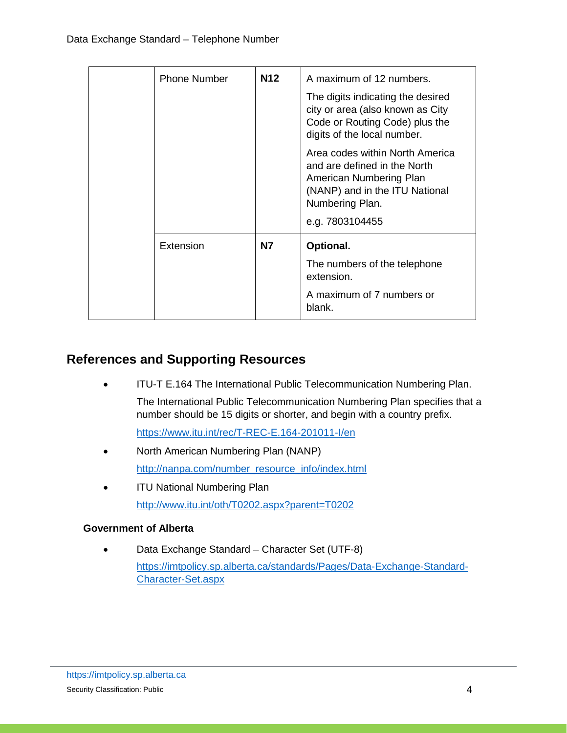| <b>Phone Number</b> | N12 | A maximum of 12 numbers.<br>The digits indicating the desired<br>city or area (also known as City<br>Code or Routing Code) plus the<br>digits of the local number.<br>Area codes within North America<br>and are defined in the North<br>American Numbering Plan<br>(NANP) and in the ITU National<br>Numbering Plan.<br>e.g. 7803104455 |
|---------------------|-----|------------------------------------------------------------------------------------------------------------------------------------------------------------------------------------------------------------------------------------------------------------------------------------------------------------------------------------------|
| Extension           | N7  | Optional.<br>The numbers of the telephone<br>extension.<br>A maximum of 7 numbers or<br>blank.                                                                                                                                                                                                                                           |

#### <span id="page-3-0"></span>**References and Supporting Resources**

• ITU-T E.164 The International Public Telecommunication Numbering Plan. The International Public Telecommunication Numbering Plan specifies that a number should be 15 digits or shorter, and begin with a country prefix.

<https://www.itu.int/rec/T-REC-E.164-201011-I/en>

- North American Numbering Plan (NANP) [http://nanpa.com/number\\_resource\\_info/index.html](http://nanpa.com/number_resource_info/index.html)
- ITU National Numbering Plan <http://www.itu.int/oth/T0202.aspx?parent=T0202>

#### **Government of Alberta**

• Data Exchange Standard – Character Set (UTF-8) [https://imtpolicy.sp.alberta.ca/standards/Pages/Data-Exchange-Standard-](https://imtpolicy.sp.alberta.ca/standards/Pages/Data-Exchange-Standard-Character-Set.aspx)[Character-Set.aspx](https://imtpolicy.sp.alberta.ca/standards/Pages/Data-Exchange-Standard-Character-Set.aspx)